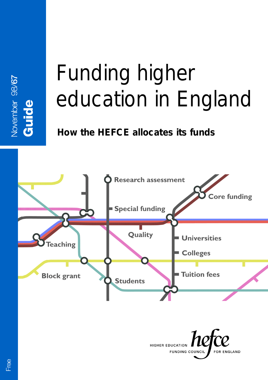# Funding higher education in England

# **How the HEFCE allocates its funds**



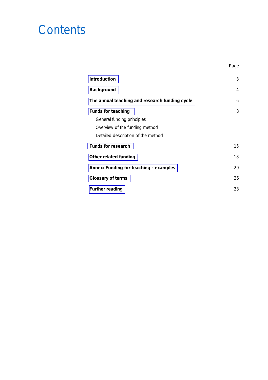# **Contents**

| <b>Introduction</b>                            | 3  |
|------------------------------------------------|----|
| <b>Background</b>                              | 4  |
| The annual teaching and research funding cycle | 6  |
| <b>Funds for teaching</b>                      | 8  |
| General funding principles                     |    |
| Overview of the funding method                 |    |
| Detailed description of the method             |    |
| <b>Funds for research</b>                      | 15 |
| Other related funding                          | 18 |
| Annex: Funding for teaching - examples         | 20 |
| Glossary of terms                              | 26 |
| <b>Further reading</b>                         | 28 |

Page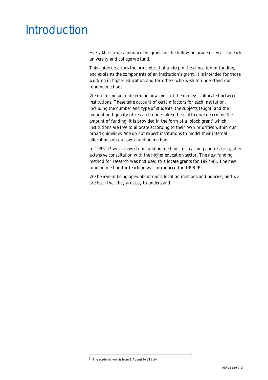# <span id="page-2-0"></span>Introduction

Every March we announce the grant for the following academic year<sup>1</sup> to each university and college we fund.

This guide describes the principles that underpin the allocation of funding, and explains the components of an institution's grant. It is intended for those working in higher education and for others who wish to understand our funding methods.

We use formulae to determine how most of the money is allocated between institutions. These take account of certain factors for each institution, including the number and type of students, the subjects taught, and the amount and quality of research undertaken there. After we determine the amount of funding, it is provided in the form of a 'block grant' which institutions are free to allocate according to their own priorities within our broad guidelines. We do not expect institutions to model their internal allocations on our own funding method.

In 1996-97 we reviewed our funding methods for teaching and research, after extensive consultation with the higher education sector. The new funding method for research was first used to allocate grants for 1997-98. The new funding method for teaching was introduced for 1998-99.

We believe in being open about our allocation methods and policies, and we are keen that they are easy to understand.

<sup>1</sup> The academic year is from 1 August to 31 July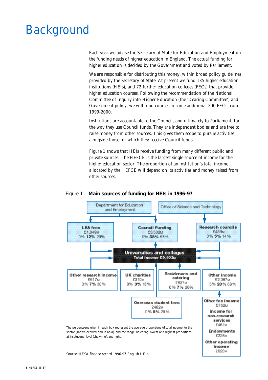# <span id="page-3-0"></span>Background

Each year we advise the Secretary of State for Education and Employment on the funding needs of higher education in England. The actual funding for higher education is decided by the Government and voted by Parliament.

We are responsible for distributing this money, within broad policy guidelines provided by the Secretary of State. At present we fund 135 higher education institutions (HEIs), and 72 further education colleges (FECs) that provide higher education courses. Following the recommendation of the National Committee of Inquiry into Higher Education (the 'Dearing Committee') and Government policy, we will fund courses in some additional 200 FECs from 1999-2000.

Institutions are accountable to the Council, and ultimately to Parliament, for the way they use Council funds. They are independent bodies and are free to raise money from other sources. This gives them scope to pursue activities alongside those for which they receive Council funds.

Figure 1 shows that HEIs receive funding from many different public and private sources. The HEFCE is the largest single source of income for the higher education sector. The proportion of an institution's total income allocated by the HEFCE will depend on its activities and money raised from other sources.



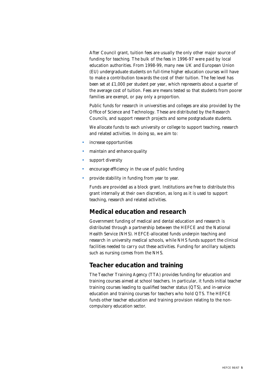After Council grant, tuition fees are usually the only other major source of funding for teaching. The bulk of the fees in 1996-97 were paid by local education authorities. From 1998-99, many new UK and European Union (EU) undergraduate students on full-time higher education courses will have to make a contribution towards the cost of their tuition. The fee level has been set at £1,000 per student per year, which represents about a quarter of the average cost of tuition. Fees are means tested so that students from poorer families are exempt, or pay only a proportion.

Public funds for research in universities and colleges are also provided by the Office of Science and Technology. These are distributed by the Research Councils, and support research projects and some postgraduate students.

We allocate funds to each university or college to support teaching, research and related activities. In doing so, we aim to:

- increase opportunities
- maintain and enhance quality
- support diversity
- encourage efficiency in the use of public funding
- provide stability in funding from year to year.

Funds are provided as a block grant. Institutions are free to distribute this grant internally at their own discretion, as long as it is used to support teaching, research and related activities.

#### **Medical education and research**

Government funding of medical and dental education and research is distributed through a partnership between the HEFCE and the National Health Service (NHS). HEFCE-allocated funds underpin teaching and research in university medical schools, while NHS funds support the clinical facilities needed to carry out these activities. Funding for ancillary subjects such as nursing comes from the NHS.

#### **Teacher education and training**

The Teacher Training Agency (TTA) provides funding for education and training courses aimed at school teachers. In particular, it funds initial teacher training courses leading to qualified teacher status (QTS), and in-service education and training courses for teachers who hold QTS. The HEFCE funds other teacher education and training provision relating to the noncompulsory education sector.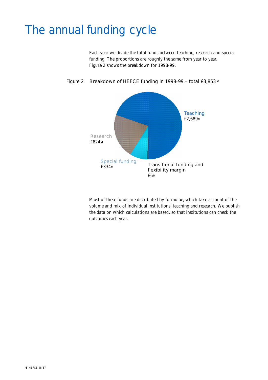# <span id="page-5-0"></span>The annual funding cycle

Each year we divide the total funds between teaching, research and special funding. The proportions are roughly the same from year to year. Figure 2 shows the breakdown for 1998-99.



#### Figure 2 Breakdown of HEFCE funding in 1998-99 - total £3,853 M

Most of these funds are distributed by formulae, which take account of the volume and mix of individual institutions' teaching and research. We publish the data on which calculations are based, so that institutions can check the outcomes each year.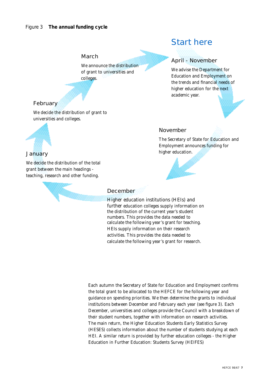#### March

We announce the distribution of grant to universities and colleges.

### Start here

#### April - November

November

higher education.

We advise the Department for Education and Employment on the trends and financial needs of higher education for the next academic year.

The Secretary of State for Education and Employment announces funding for

#### February

We decide the distribution of grant to universities and colleges.



#### **January**

We decide the distribution of the total grant between the main headings teaching, research and other funding.



#### December

Higher education institutions (HEIs) and further education colleges supply information on the distribution of the current year's student numbers. This provides the data needed to calculate the following year's grant for teaching. HEIs supply information on their research activities. This provides the data needed to calculate the following year's grant for research.

Each autumn the Secretary of State for Education and Employment confirms the total grant to be allocated to the HEFCE for the following year and guidance on spending priorities. We then determine the grants to individual institutions between December and February each year (see figure 3). Each December, universities and colleges provide the Council with a breakdown of their student numbers, together with information on research activities. The main return, the Higher Education Students Early Statistics Survey (HESES) collects information about the number of students studying at each HEI. A similar return is provided by further education colleges - the Higher Education in Further Education: Students Survey (HEIFES)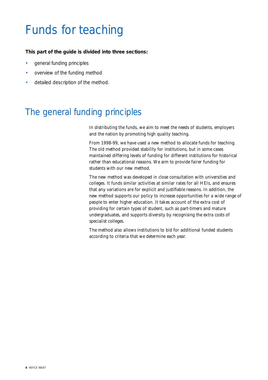# <span id="page-7-0"></span>Funds for teaching

#### **This part of the guide is divided into three sections:**

- general funding principles
- overview of the funding method
- detailed description of the method.

### The general funding principles

In distributing the funds, we aim to meet the needs of students, employers and the nation by promoting high quality teaching.

From 1998-99, we have used a new method to allocate funds for teaching. The old method provided stability for institutions, but in some cases maintained differing levels of funding for different institutions for historical rather than educational reasons. We aim to provide fairer funding for students with our new method.

The new method was developed in close consultation with universities and colleges. It funds similar activities at similar rates for all HEIs, and ensures that any variations are for explicit and justifiable reasons. In addition, the new method supports our policy to increase opportunities for a wide range of people to enter higher education. It takes account of the extra cost of providing for certain types of student, such as part-timers and mature undergraduates, and supports diversity by recognising the extra costs of specialist colleges.

The method also allows institutions to bid for additional funded students according to criteria that we determine each year.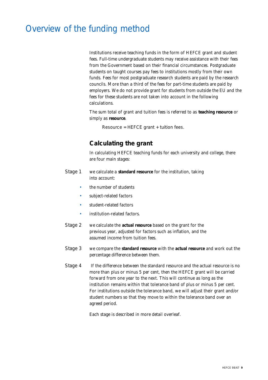### Overview of the funding method

Institutions receive teaching funds in the form of HEFCE grant and student fees. Full-time undergraduate students may receive assistance with their fees from the Government based on their financial circumstances. Postgraduate students on taught courses pay fees to institutions mostly from their own funds. Fees for most postgraduate research students are paid by the research councils. More than a third of the fees for part-time students are paid by employers. We do not provide grant for students from outside the EU and the fees for these students are not taken into account in the following calculations.

The sum total of grant and tuition fees is referred to as **teaching resource** or simply as **resource**.

Resource = HEFCE grant + tuition fees.

#### **Calculating the grant**

In calculating HEFCE teaching funds for each university and college, there are four main stages:

- Stage 1 we calculate a **standard resource** for the institution, taking into account:
	- the number of students
	- subject-related factors
	- student-related factors
	- institution-related factors.
- Stage 2 we calculate the **actual resource** based on the grant for the previous year, adjusted for factors such as inflation, and the assumed income from tuition fees.
- Stage 3 we compare the **standard resource** with the **actual resource** and work out the percentage difference between them.
- Stage 4 If the difference between the standard resource and the actual resource is no more than plus or minus 5 per cent, then the HEFCE grant will be carried forward from one year to the next. This will continue as long as the institution remains within that tolerance band of plus or minus 5 per cent. For institutions outside the tolerance band, we will adjust their grant and/or student numbers so that they move to within the tolerance band over an agreed period.

Each stage is described in more detail overleaf.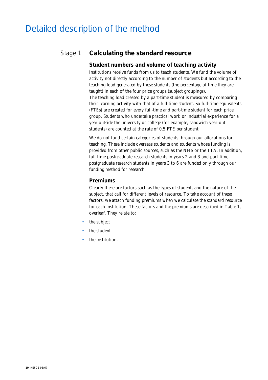### Detailed description of the method

#### Stage 1 **Calculating the standard resource**

#### **Student numbers and volume of teaching activity**

Institutions receive funds from us to teach students. We fund the volume of activity not directly according to the number of students but according to the teaching load generated by these students (the percentage of time they are taught) in each of the four price groups (subject groupings). The teaching load created by a part-time student is measured by comparing their learning activity with that of a full-time student. So full-time equivalents (FTEs) are created for every full-time and part-time student for each price group. Students who undertake practical work or industrial experience for a year outside the university or college (for example, sandwich year-out students) are counted at the rate of 0.5 FTE per student.

We do not fund certain categories of students through our allocations for teaching. These include overseas students and students whose funding is provided from other public sources, such as the NHS or the TTA. In addition, full-time postgraduate research students in years 2 and 3 and part-time postgraduate research students in years 3 to 6 are funded only through our funding method for research.

#### **Premiums**

Clearly there are factors such as the types of student, and the nature of the subject, that call for different levels of resource. To take account of these factors, we attach funding premiums when we calculate the standard resource for each institution. These factors and the premiums are described in Table 1, overleaf. They relate to:

- the subject
- the student
- the institution.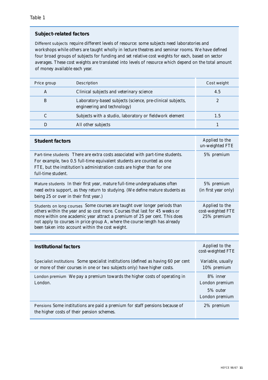#### **Subject-related factors**

Different subjects require different levels of resource: some subjects need laboratories and workshops while others are taught wholly in lecture theatres and seminar rooms. We have defined four broad groups of subjects for funding and set relative cost weights for each, based on sector averages. These cost weights are translated into levels of resource which depend on the total amount of money available each year.

| Price group | Description                                                                               | Cost weight |
|-------------|-------------------------------------------------------------------------------------------|-------------|
| A           | Clinical subjects and veterinary science                                                  | 4.5         |
| B           | Laboratory-based subjects (science, pre-clinical subjects,<br>engineering and technology) |             |
|             | Subjects with a studio, laboratory or fieldwork element                                   | 1.5         |
|             | All other subjects                                                                        |             |

| <b>Student factors</b>                                                                                                                                                                                                                                                                                             | Applied to the<br>un-weighted FTE                        |  |
|--------------------------------------------------------------------------------------------------------------------------------------------------------------------------------------------------------------------------------------------------------------------------------------------------------------------|----------------------------------------------------------|--|
| Part-time students There are extra costs associated with part-time students.<br>For example, two 0.5 full-time equivalent students are counted as one<br>FTE, but the institution's administration costs are higher than for one<br>full-time student.                                                             | 5% premium                                               |  |
| Mature students In their first year, mature full-time undergraduates often<br>need extra support, as they return to studying. (We define mature students as<br>being 25 or over in their first year.)                                                                                                              | 5% premium<br>(in first year only)                       |  |
| Students on long courses Some courses are taught over longer periods than<br>others within the year and so cost more. Courses that last for 45 weeks or<br>more within one academic year attract a premium of 25 per cent. This does<br>not apply to courses in price group A, where the course length has already | Applied to the<br>cost-weighted FTE<br>25% premium       |  |
| been taken into account within the cost weight.                                                                                                                                                                                                                                                                    |                                                          |  |
|                                                                                                                                                                                                                                                                                                                    |                                                          |  |
| <b>Institutional factors</b>                                                                                                                                                                                                                                                                                       | Applied to the<br>cost-weighted FTE                      |  |
| Specialist institutions Some specialist institutions (defined as having 60 per cent<br>or more of their courses in one or two subjects only) have higher costs.                                                                                                                                                    | Variable, usually<br>10% premium                         |  |
| London premium We pay a premium towards the higher costs of operating in<br>London.                                                                                                                                                                                                                                | 8% inner<br>London premium<br>5% outer<br>London premium |  |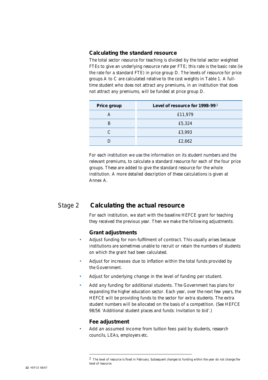#### **Calculating the standard resource**

The total sector resource for teaching is divided by the total sector weighted FTEs to give an underlying resource rate per FTE; this rate is the basic rate (ie the rate for a standard FTE) in price group D. The levels of resource for price groups A to C are calculated relative to the cost weights in Table 1. A fulltime student who does not attract any premiums, in an institution that does not attract any premiums, will be funded at price group D.

| Price group | Level of resource for 1998-992 |
|-------------|--------------------------------|
| A           | £11,979                        |
| в           | £5,324                         |
| C           | £3,993                         |
|             | £2,662                         |

For each institution we use the information on its student numbers and the relevant premiums, to calculate a standard resource for each of the four price groups. These are added to give the standard resource for the whole institution. A more detailed description of these calculations is given at Annex A.

#### Stage 2 **Calculating the actual resource**

For each institution, we start with the baseline HEFCE grant for teaching they received the previous year. Then we make the following adjustments:

#### **Grant adjustments**

- Adjust funding for non-fulfilment of contract. This usually arises because institutions are sometimes unable to recruit or retain the numbers of students on which the grant had been calculated.
- Adjust for increases due to inflation within the total funds provided by the Government.
- Adjust for underlying change in the level of funding per student.
- Add any funding for additional students. The Government has plans for expanding the higher education sector. Each year, over the next few years, the HEFCE will be providing funds to the sector for extra students. The extra student numbers will be allocated on the basis of a competition. (See HEFCE 98/56 'Additional student places and funds: Invitation to bid'.)

#### **Fee adjustment**

Add an assumed income from tuition fees paid by students, research councils, LEAs, employers etc.

 $\,2\,\,$  The level of resource is fixed in February. Subsequent changes to funding within the year do not change the level of resource.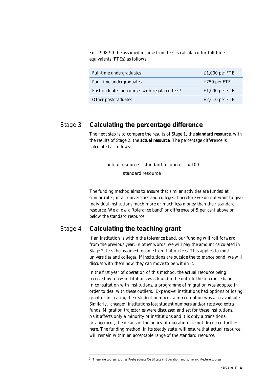For 1998-99 the assumed income from fees is calculated for full-time equivalents (FTEs) as follows:

| Full-time undergraduates                                  | $£1,000$ per FTE |
|-----------------------------------------------------------|------------------|
| Part-time undergraduates                                  | £750 per FTE     |
| Postgraduates on courses with regulated fees <sup>3</sup> | $£1,000$ per FTE |
| Other postgraduates                                       | $£2,610$ per FTE |

#### Stage 3 **Calculating the percentage difference**

The next step is to compare the results of Stage 1, the **standard resource**, with the results of Stage 2, the **actual resource**. The percentage difference is calculated as follows:

actual resource – standard resource x 100

standard resource

The funding method aims to ensure that similar activities are funded at similar rates, in all universities and colleges. Therefore we do not want to give individual institutions much more or much less money than their standard resource. We allow a 'tolerance band' or difference of 5 per cent above or below the standard resource.

#### Stage 4 **Calculating the teaching grant**

If an institution is within the tolerance band, our funding will roll forward from the previous year. In other words, we will pay the amount calculated in Stage 2, less the assumed income from tuition fees. This applies to most universities and colleges. If institutions are outside the tolerance band, we will discuss with them how they can move to be within it.

In the first year of operation of this method, the actual resource being received by a few institutions was found to be outside the tolerance band. In consultation with institutions, a programme of migration was adopted in order to deal with these outliers. 'Expensive' institutions had options of losing grant or increasing their student numbers; a mixed option was also available. Similarly, 'cheaper' institutions lost student numbers and/or received extra funds. Migration trajectories were discussed and set for these institutions. As it affects only a minority of institutions and it is only a transitional arrangement, the details of the policy of migration are not discussed further here. The funding method, in its steady state, will ensure that actual resource will remain within an acceptable range of the standard resource.

 $^3\,$  These are courses such as Postgraduate Certificate in Education and some architecture courses.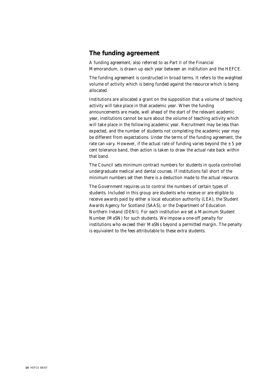#### **The funding agreement**

A funding agreement, also referred to as Part II of the Financial Memorandum, is drawn up each year between an institution and the HEFCE.

The funding agreement is constructed in broad terms. It refers to the weighted volume of activity which is being funded against the resource which is being allocated.

Institutions are allocated a grant on the supposition that a volume of teaching activity will take place in that academic year. When the funding announcements are made, well ahead of the start of the relevant academic year, institutions cannot be sure about the volume of teaching activity which will take place in the following academic year. Recruitment may be less than expected, and the number of students not completing the academic year may be different from expectations. Under the terms of the funding agreement, the rate can vary. However, if the actual rate of funding varies beyond the  $\pm$  5 per cent tolerance band, then action is taken to draw the actual rate back within that band.

The Council sets minimum contract numbers for students in quota controlled undergraduate medical and dental courses. If institutions fall short of the minimum numbers set then there is a deduction made to the actual resource.

The Government requires us to control the numbers of certain types of students. Included in this group are students who receive or are eligible to receive awards paid by either a local education authority (LEA), the Student Awards Agency for Scotland (SAAS), or the Department of Education Northern Ireland (DENI). For each institution we set a Maximum Student Number (MaSN) for such students. We impose a one-off penalty for institutions who exceed their MaSNs beyond a permitted margin. The penalty is equivalent to the fees attributable to these extra students.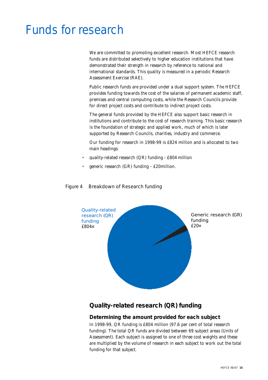# <span id="page-14-0"></span>Funds for research

We are committed to promoting excellent research. Most HEFCE research funds are distributed selectively to higher education institutions that have demonstrated their strength in research by reference to national and international standards. This quality is measured in a periodic Research Assessment Exercise (RAE).

Public research funds are provided under a dual support system. The HEFCE provides funding towards the cost of the salaries of permanent academic staff, premises and central computing costs, while the Research Councils provide for direct project costs and contribute to indirect project costs.

The general funds provided by the HEFCE also support basic research in institutions and contribute to the cost of research training. This basic research is the foundation of strategic and applied work, much of which is later supported by Research Councils, charities, industry and commerce.

Our funding for research in 1998-99 is £824 million and is allocated to two main headings:

- quality-related research (QR) funding £804 million
- generic research (GR) funding £20million.



#### Figure 4 Breakdown of Research funding

#### **Quality-related research (QR) funding**

#### **Determining the amount provided for each subject**

In 1998-99, QR funding is £804 million (97.6 per cent of total research funding). The total QR funds are divided between 69 subject areas (Units of Assessment). Each subject is assigned to one of three cost weights and these are multiplied by the volume of research in each subject to work out the total funding for that subject.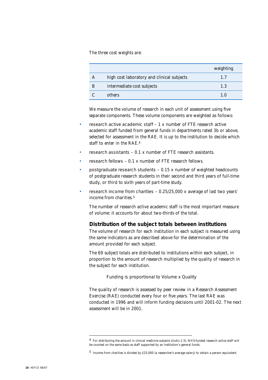The three cost weights are:

|   |                                            | weighting |
|---|--------------------------------------------|-----------|
| A | high cost laboratory and clinical subjects | 17        |
| B | intermediate cost subjects                 | 1.3       |
|   | others                                     |           |

We measure the volume of research in each unit of assessment using five separate components. These volume components are weighted as follows:

- research active academic staff  $-1$  x number of FTE research active academic staff funded from general funds in departments rated 3b or above, selected for assessment in the RAE. It is up to the institution to decide which staff to enter in the RAE.<sup>4</sup>
- research assistants  $-0.1$  x number of FTE research assistants.
- research fellows  $-0.1$  x number of FTE research fellows.
- postgraduate research students  $-0.15$  x number of weighted headcounts of postgraduate research students in their second and third years of full-time study, or third to sixth years of part-time study.
- research income from charities  $-0.25/25,000$  x average of last two years' income from charities.<sup>5</sup>

The number of research active academic staff is the most important measure of volume: it accounts for about two-thirds of the total.

#### **Distribution of the subject totals between institutions**

The volume of research for each institution in each subject is measured using the same indicators as are described above for the determination of the amount provided for each subject.

The 69 subject totals are distributed to institutions within each subject, in proportion to the amount of research multiplied by the quality of research in the subject for each institution.

Funding is proportional to Volume x Quality

The quality of research is assessed by peer review in a Research Assessment Exercise (RAE) conducted every four or five years. The last RAE was conducted in 1996 and will inform funding decisions until 2001-02. The next assessment will be in 2001.

<sup>4</sup> For distributing the amount in clinical medicine subjects (UoAs 1-3), NHS-funded research active staff will be counted on the same basis as staff supported by an institution's general funds.

<sup>5</sup> Income from charities is divided by £25,000 (a researcher's average salary) to obtain a person equivalent.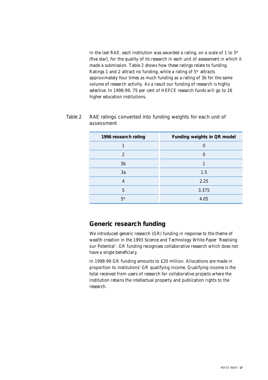In the last RAE, each institution was awarded a rating, on a scale of 1 to  $5*$ (five star), for the quality of its research in each unit of assessment in which it made a submission. Table 2 shows how these ratings relate to funding. Ratings 1 and 2 attract no funding, while a rating of 5\* attracts approximately four times as much funding as a rating of 3b for the same volume of research activity. As a result our funding of research is highly selective. In 1998-99, 75 per cent of HEFCE research funds will go to 26 higher education institutions.

| assessment           |                             |
|----------------------|-----------------------------|
| 1996 research rating | Funding weights in QR model |
|                      |                             |

2 and  $\overline{0}$  0  $3b$  1  $3a$  1.5 4 2.25 5 3.375

| Table 2 RAE ratings converted into funding weights for each unit of |
|---------------------------------------------------------------------|
| assessment                                                          |

#### **Generic research funding**

We introduced generic research (GR) funding in response to the theme of wealth creation in the 1993 Science and Technology White Paper 'Realising our Potential'. GR funding recognises collaborative research which does not have a single beneficiary.

 $5*$  4.05

In 1998-99 GR funding amounts to £20 million. Allocations are made in proportion to institutions' GR qualifying income. Qualifying income is the total received from users of research for collaborative projects where the institution retains the intellectual property and publication rights to the research.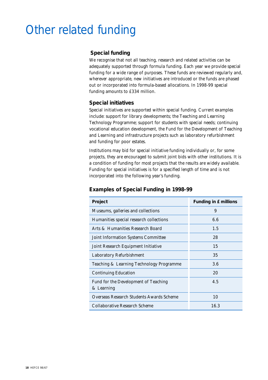# <span id="page-17-0"></span>Other related funding

#### **Special funding**

We recognise that not all teaching, research and related activities can be adequately supported through formula funding. Each year we provide special funding for a wide range of purposes. These funds are reviewed regularly and, wherever appropriate, new initiatives are introduced or the funds are phased out or incorporated into formula-based allocations. In 1998-99 special funding amounts to £334 million.

#### **Special initiatives**

Special initiatives are supported within special funding. Current examples include: support for library developments; the Teaching and Learning Technology Programme; support for students with special needs; continuing vocational education development, the Fund for the Development of Teaching and Learning and infrastructure projects such as laboratory refurbishment and funding for poor estates.

Institutions may bid for special initiative funding individually or, for some projects, they are encouraged to submit joint bids with other institutions. It is a condition of funding for most projects that the results are widely available. Funding for special initiatives is for a specified length of time and is not incorporated into the following year's funding.

| Project                                            | Funding in £ millions |
|----------------------------------------------------|-----------------------|
| Museums, galleries and collections                 | 9                     |
| Humanities special research collections            | 6.6                   |
| Arts & Humanities Research Board                   | 1.5                   |
| <b>Joint Information Systems Committee</b>         | 28                    |
| Joint Research Equipment Initiative                | 15                    |
| Laboratory Refurbishment                           | 35                    |
| Teaching & Learning Technology Programme           | 3.6                   |
| <b>Continuing Education</b>                        | 20                    |
| Fund for the Development of Teaching<br>& Learning | 4.5                   |
| Overseas Research Students Awards Scheme           | 10                    |
| Collaborative Research Scheme                      | 16.3                  |

#### **Examples of Special Funding in 1998-99**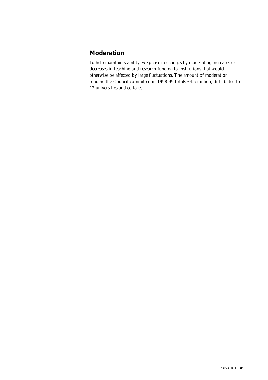#### **Moderation**

To help maintain stability, we phase in changes by moderating increases or decreases in teaching and research funding to institutions that would otherwise be affected by large fluctuations. The amount of moderation funding the Council committed in 1998-99 totals £4.6 million, distributed to 12 universities and colleges.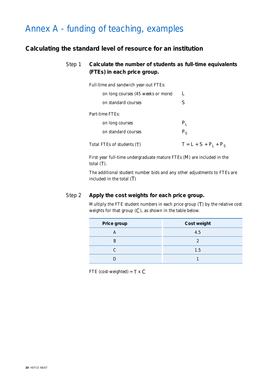### <span id="page-19-0"></span>Annex A - funding of teaching, examples

#### **Calculating the standard level of resource for an institution**

#### Step 1 **Calculate the number of students as full-time equivalents (FTEs) in each price group.**

Full-time and sandwich year-out FTEs:

| on long courses (45 weeks or more) |                         |
|------------------------------------|-------------------------|
| on standard courses                |                         |
| Part-time FTEs:                    |                         |
| on long courses                    | P.                      |
| on standard courses                | $P_S$                   |
| Total FTEs of students (T)         | $T = L + S + P_1 + P_5$ |

First year full-time undergraduate mature FTEs (M) are included in the total (T).

The additional student number bids and any other adjustments to FTEs are included in the total (T)

#### Step 2 **Apply the cost weights for each price group.**

Multiply the FTE student numbers in each price group (T) by the relative cost weights for that group (C), as shown in the table below.

| Price group | Cost weight |
|-------------|-------------|
|             | 4.5         |
| R           | 2           |
|             | 1.5         |
|             |             |

FTE (cost-weighted) =  $T \times C$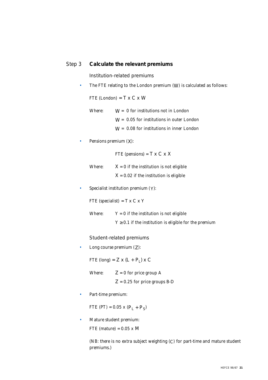#### Step 3 **Calculate the relevant premiums**

Institution-related premiums

• The FTE relating to the London premium (W) is calculated as follows:

FTE (London) =  $T \times C \times W$ 

- Where:  $W = 0$  for institutions not in London  $W = 0.05$  for institutions in outer London W = 0.08 for institutions in inner London
- Pensions premium (X):

FTE (pensions) =  $T \times C \times X$ 

Where:  $X = 0$  if the institution is not eligible  $X = 0.02$  if the institution is eligible

• Specialist institution premium (Y):

FTE (specialist) =  $T \times C \times Y$ 

Where:  $Y = 0$  if the institution is not eligible

 $Y \geq 0.1$  if the institution is eligible for the premium

#### Student-related premiums

• Long course premium (Z):

FTE (long) =  $Z \times (L + P_L) \times C$ 

- Where:  $Z = 0$  for price group A  $Z = 0.25$  for price groups B-D
- Part-time premium:

FTE (PT) =  $0.05$  x (P<sub>L</sub> + P<sub>S</sub>)

• Mature student premium: FTE (mature) =  $0.05 \times M$ 

> (NB: there is no extra subject weighting (C) for part-time and mature student premiums.)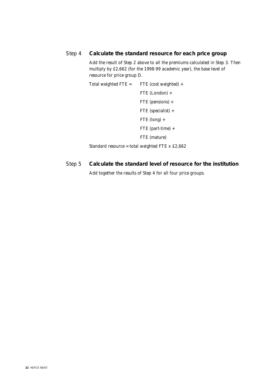#### Step 4 **Calculate the standard resource for each price group**

Add the result of Step 2 above to all the premiums calculated in Step 3. Then multiply by £2,662 (for the 1998-99 academic year), the base level of resource for price group D.

Total weighted  $\text{FTE} = \text{FTE}$  (cost weighted) + FTE (London) + FTE (pensions) + FTE (specialist) + FTE (long) + FTE (part-time) + FTE (mature)

Standard resource = total weighted FTE x £2,662

#### Step 5 **Calculate the standard level of resource for the institution**

Add together the results of Step 4 for all four price groups.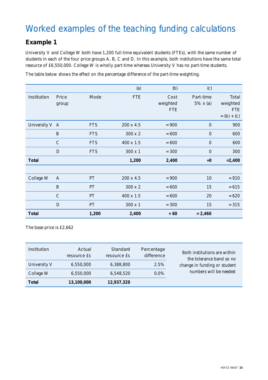## Worked examples of the teaching funding calculations

### **Example 1**

University V and College W both have 1,200 full-time equivalent students (FTEs), with the same number of students in each of the four price groups A, B, C and D. In this example, both institutions have the same total resource of £6,550,000. College W is wholly part-time whereas University V has no part-time students.

The table below shows the effect on the percentage difference of the part-time weighting.

|                |                |            | (a)              | (b)                            | (c)                           |                                                  |
|----------------|----------------|------------|------------------|--------------------------------|-------------------------------|--------------------------------------------------|
| Institution    | Price<br>group | Mode       | <b>FTE</b>       | Cost<br>weighted<br><b>FTE</b> | Part-time<br>$5\% \times (a)$ | Total<br>weighted<br><b>FTE</b><br>$= (b) + (c)$ |
| University V A |                | <b>FTS</b> | 200 x 4.5        | $= 900$                        | $\boldsymbol{0}$              | 900                                              |
|                | B              | <b>FTS</b> | $300 \times 2$   | $= 600$                        | $\boldsymbol{0}$              | 600                                              |
|                | $\mathcal{C}$  | <b>FTS</b> | $400 \times 1.5$ | $= 600$                        | $\boldsymbol{0}$              | 600                                              |
|                | D              | <b>FTS</b> | $300 \times 1$   | $= 300$                        | $\boldsymbol{0}$              | 300                                              |
| <b>Total</b>   |                |            | 1,200            | 2,400                          | $+0$                          | $= 2,400$                                        |
|                |                |            |                  |                                |                               |                                                  |
| College W      | $\mathbf{A}$   | PT         | $200 \times 4.5$ | $= 900$                        | 10                            | $= 910$                                          |
|                | B              | PT         | $300 \times 2$   | $= 600$                        | 15                            | $= 615$                                          |
|                | $\mathcal{C}$  | <b>PT</b>  | $400 \times 1.5$ | $= 600$                        | 20                            | $= 620$                                          |
|                | D              | PT         | $300 \times 1$   | $= 300$                        | 15                            | $= 315$                                          |
| <b>Total</b>   |                | 1,200      | 2,400            | $+60$                          | $= 2,460$                     |                                                  |

The base price is £2,662

| Institution  | Actual<br>resource Es | Standard<br>resource Es | Percentage<br>difference | Both institutions are within<br>the tolerance band so no |
|--------------|-----------------------|-------------------------|--------------------------|----------------------------------------------------------|
| University V | 6,550,000             | 6,388,800               | 2.5%                     | change in funding or student                             |
| College W    | 6,550,000             | 6,548,520               | $0.0\%$                  | numbers will be needed                                   |
| <b>Total</b> | 13,100,000            | 12,937,320              |                          |                                                          |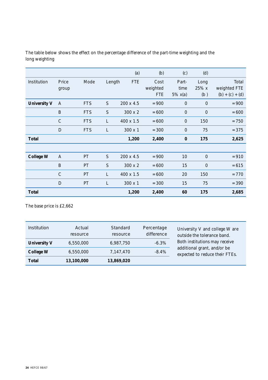|                     |                |            |        | (a)              | (b)                            | (c)                               | (d)                  |                                            |
|---------------------|----------------|------------|--------|------------------|--------------------------------|-----------------------------------|----------------------|--------------------------------------------|
| Institution         | Price<br>group | Mode       | Length | <b>FTE</b>       | Cost<br>weighted<br><b>FTE</b> | Part-<br>time<br>$5\% \times (a)$ | Long<br>25% x<br>(b) | Total<br>weighted FTE<br>$(b) + (c) + (d)$ |
| <b>University V</b> | $\mathbf{A}$   | <b>FTS</b> | S      | $200 \times 4.5$ | $= 900$                        | $\boldsymbol{0}$                  | $\mathbf{0}$         | $= 900$                                    |
|                     | $\mathbf B$    | <b>FTS</b> | S      | 300 x 2          | $= 600$                        | $\boldsymbol{0}$                  | $\boldsymbol{0}$     | $= 600$                                    |
|                     | $\mathcal{C}$  | <b>FTS</b> | L      | $400 \times 1.5$ | $= 600$                        | $\boldsymbol{0}$                  | 150                  | $= 750$                                    |
|                     | D              | <b>FTS</b> | L      | 300 x 1          | $= 300$                        | $\boldsymbol{0}$                  | 75                   | $= 375$                                    |
| <b>Total</b>        |                |            |        | 1,200            | 2,400                          | $\bf{0}$                          | 175                  | 2,625                                      |
|                     |                |            |        |                  |                                |                                   |                      |                                            |
| <b>College W</b>    | $\mathbf{A}$   | PT         | S      | $200 \times 4.5$ | $= 900$                        | 10                                | $\boldsymbol{0}$     | $= 910$                                    |
|                     | $\mathbf{B}$   | PT         | S      | 300 x 2          | $= 600$                        | 15                                | $\boldsymbol{0}$     | $= 615$                                    |
|                     | $\mathcal{C}$  | PT         | L      | $400 \times 1.5$ | $= 600$                        | 20                                | 150                  | $= 770$                                    |
|                     | D              | PT         | L      | $300 \times 1$   | $= 300$                        | 15                                | 75                   | $= 390$                                    |
| <b>Total</b>        |                |            |        | 1,200            | 2,400                          | 60                                | 175                  | 2,685                                      |

The table below shows the effect on the percentage difference of the part-time weighting and the long weighting

The base price is £2,662

| <b>Institution</b>  | Actual<br>resource | Standard<br>resource | Percentage<br>difference | University V and college W are<br>outside the tolerance band. |
|---------------------|--------------------|----------------------|--------------------------|---------------------------------------------------------------|
| <b>University V</b> | 6,550,000          | 6,987,750            | $-6.3\%$                 | Both institutions may receive                                 |
| <b>College W</b>    | 6,550,000          | 7,147,470            | $-8.4%$                  | additional grant, and/or be<br>expected to reduce their FTEs. |
| <b>Total</b>        | 13,100,000         | 13,869,020           |                          |                                                               |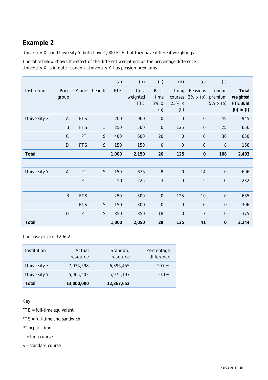#### **Example 2**

University X and University Y both have 1,000 FTE, but they have different weightings.

The table below shows the effect of the different weightings on the percentage difference. University X is in outer London. University Y has pension premiums.

|                     |                |            |                | (a)        | (b)                            | (c)                             | (d)                             | (e)                     | (f)                              |                                                       |
|---------------------|----------------|------------|----------------|------------|--------------------------------|---------------------------------|---------------------------------|-------------------------|----------------------------------|-------------------------------------------------------|
| Institution         | Price<br>group | Mode       | Length         | <b>FTE</b> | Cost<br>weighted<br><b>FTE</b> | Part-<br>time<br>$5\%$ x<br>(a) | Long<br>courses<br>25% x<br>(b) | Pensions<br>$2\%$ x (b) | London<br>premium<br>$5\%$ x (b) | <b>Total</b><br>weighted<br>FTE sum<br>$(b)$ to $(f)$ |
| University X        | $\mathbf{A}$   | <b>FTS</b> | $\mathbf{L}$   | 200        | 900                            | $\boldsymbol{0}$                | $\mathbf{0}$                    | $\mathbf{0}$            | 45                               | 945                                                   |
|                     | B              | <b>FTS</b> | L              | 250        | 500                            | $\boldsymbol{0}$                | 125                             | $\boldsymbol{0}$        | 25                               | 650                                                   |
|                     | $\mathcal{C}$  | PT         | ${\mathcal S}$ | 400        | 600                            | 20                              | $\bf{0}$                        | $\mathbf{0}$            | 30                               | 650                                                   |
|                     | D              | <b>FTS</b> | S              | 150        | 150                            | $\boldsymbol{0}$                | $\mathbf{0}$                    | $\boldsymbol{0}$        | 8                                | 158                                                   |
| <b>Total</b>        |                |            |                | 1,000      | 2,150                          | 20                              | 125                             | $\bf{0}$                | 108                              | 2,403                                                 |
|                     |                |            |                |            |                                |                                 |                                 |                         |                                  |                                                       |
| <b>University Y</b> | $\mathbf{A}$   | PT         | S              | 150        | 675                            | 8                               | $\mathbf{0}$                    | 14                      | $\boldsymbol{0}$                 | 696                                                   |
|                     |                | PT         | L              | 50         | 225                            | 3                               | $\boldsymbol{0}$                | $\overline{5}$          | $\boldsymbol{0}$                 | 232                                                   |
|                     | $\, {\bf B}$   | <b>FTS</b> | L              | 250        | 500                            | $\boldsymbol{0}$                | 125                             | 10                      | $\boldsymbol{0}$                 | 635                                                   |
|                     |                | <b>FTS</b> | S              | 150        | 300                            | $\boldsymbol{0}$                | $\mathbf{0}$                    | $6\phantom{1}$          | $\boldsymbol{0}$                 | 306                                                   |
|                     | D              | PT         | ${\mathcal S}$ | 350        | 350                            | 18                              | $\boldsymbol{0}$                | $\tau$                  | $\boldsymbol{0}$                 | 375                                                   |
| <b>Total</b>        |                |            |                | 1,000      | 2,050                          | 28                              | 125                             | 41                      | $\bf{0}$                         | 2,244                                                 |

The base price is £2,662

| Institution         | Actual<br>resource | Standard<br>resource | Percentage<br>difference |
|---------------------|--------------------|----------------------|--------------------------|
| University X        | 7,034,598          | 6.395.455            | 10.0%                    |
| <b>University Y</b> | 5,965,402          | 5,972,197            | $-0.1\%$                 |
| <b>Total</b>        | 13,000,000         | 12,367,652           |                          |

Key

FTE = full-time equivalent

FTS = full-time and sandwich

PT = part-time

L = long course

S = standard course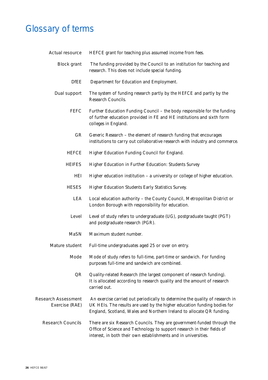### Glossary of terms

Actual resource HEFCE grant for teaching plus assumed income from fees.

- Block grant The funding provided by the Council to an institution for teaching and research. This does not include special funding.
	- DfEE Department for Education and Employment.
- Dual support The system of funding research partly by the HEFCE and partly by the Research Councils.
	- FEFC Further Education Funding Council the body responsible for the funding of further education provided in FE and HE institutions and sixth form colleges in England.
		- GR Generic Research the element of research funding that encourages institutions to carry out collaborative research with industry and commerce.
	- HEFCE Higher Education Funding Council for England.
	- HEIFES Higher Education in Further Education: Students Survey
		- HEI Higher education institution a university or college of higher education.
	- HESES Higher Education Students Early Statistics Survey.
		- LEA Local education authority the County Council, Metropolitan District or London Borough with responsibility for education.
		- Level Level of study refers to undergraduate (UG), postgraduate taught (PGT) and postgraduate research (PGR).
	- MaSN Maximum student number.

Mature student Full-time undergraduates aged 25 or over on entry.

- Mode Mode of study refers to full-time, part-time or sandwich. For funding purposes full-time and sandwich are combined.
	- QR Quality-related Research (the largest component of research funding). It is allocated according to research quality and the amount of research carried out.
- Research Assessment An exercise carried out periodically to determine the quality of research in Exercise (RAE) UK HEIs. The results are used by the higher education funding bodies for England, Scotland, Wales and Northern Ireland to allocate QR funding.
	- Research Councils There are six Research Councils. They are government-funded through the Office of Science and Technology to support research in their fields of interest, in both their own establishments and in universities.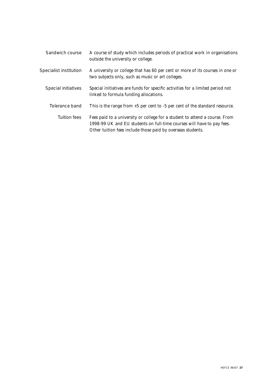| Sandwich course               | A course of study which includes periods of practical work in organisations<br>outside the university or college.                                                                                                    |
|-------------------------------|----------------------------------------------------------------------------------------------------------------------------------------------------------------------------------------------------------------------|
| <b>Specialist institution</b> | A university or college that has 60 per cent or more of its courses in one or<br>two subjects only, such as music or art colleges.                                                                                   |
| Special initiatives           | Special initiatives are funds for specific activities for a limited period not<br>linked to formula funding allocations.                                                                                             |
| Tolerance band                | This is the range from $+5$ per cent to $-5$ per cent of the standard resource.                                                                                                                                      |
| <b>Tuition fees</b>           | Fees paid to a university or college for a student to attend a course. From<br>1998-99 UK and EU students on full-time courses will have to pay fees.<br>Other tuition fees include those paid by overseas students. |